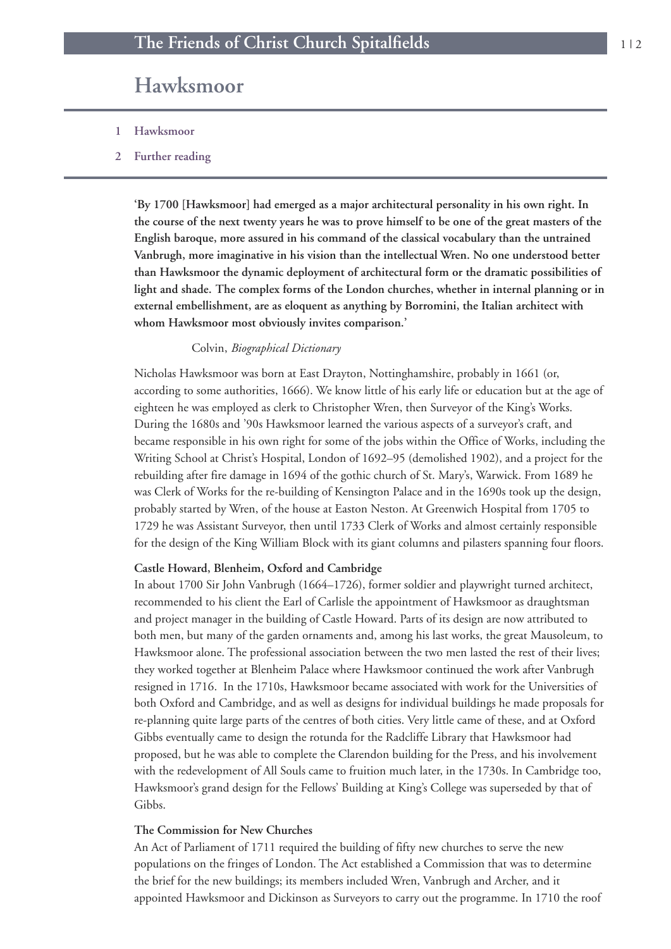# **Hawksmoor**

- **1 Hawksmoor**
- **2 Further reading**

**'By 1700 [Hawksmoor] had emerged as a major architectural personality in his own right. In** the course of the next twenty years he was to prove himself to be one of the great masters of the **English baroque, more assured in his command of the classical vocabulary than the untrained Vanbrugh, more imaginative in his vision than the intellectual Wren. No one understood better than Hawksmoor the dynamic deployment of architectural form or the dramatic possibilities of light and shade. The complex forms of the London churches, whether in internal planning or in external embellishment, are as eloquent as anything by Borromini, the Italian architect with whom Hawksmoor most obviously invites comparison.'**

#### Colvin, *Biographical Dictionary*

Nicholas Hawksmoor was born at East Drayton, Nottinghamshire, probably in 1661 (or, according to some authorities, 1666). We know little of his early life or education but at the age of eighteen he was employed as clerk to Christopher Wren, then Surveyor of the King's Works. During the 1680s and '90s Hawksmoor learned the various aspects of a surveyor's craft, and became responsible in his own right for some of the jobs within the Office of Works, including the Writing School at Christ's Hospital, London of 1692–95 (demolished 1902), and a project for the rebuilding after fire damage in 1694 of the gothic church of St. Mary's, Warwick. From 1689 he was Clerk of Works for the re-building of Kensington Palace and in the 1690s took up the design, probably started by Wren, of the house at Easton Neston. At Greenwich Hospital from 1705 to 1729 he was Assistant Surveyor, then until 1733 Clerk of Works and almost certainly responsible for the design of the King William Block with its giant columns and pilasters spanning four floors.

#### **Castle Howard, Blenheim, Oxford and Cambridge**

In about 1700 Sir John Vanbrugh (1664–1726), former soldier and playwright turned architect, recommended to his client the Earl of Carlisle the appointment of Hawksmoor as draughtsman and project manager in the building of Castle Howard. Parts of its design are now attributed to both men, but many of the garden ornaments and, among his last works, the great Mausoleum, to Hawksmoor alone. The professional association between the two men lasted the rest of their lives; they worked together at Blenheim Palace where Hawksmoor continued the work after Vanbrugh resigned in 1716. In the 1710s, Hawksmoor became associated with work for the Universities of both Oxford and Cambridge, and as well as designs for individual buildings he made proposals for re-planning quite large parts of the centres of both cities. Very little came of these, and at Oxford Gibbs eventually came to design the rotunda for the Radcliffe Library that Hawksmoor had proposed, but he was able to complete the Clarendon building for the Press, and his involvement with the redevelopment of All Souls came to fruition much later, in the 1730s. In Cambridge too, Hawksmoor's grand design for the Fellows' Building at King's College was superseded by that of Gibbs.

#### **The Commission for New Churches**

An Act of Parliament of 1711 required the building of fifty new churches to serve the new populations on the fringes of London. The Act established a Commission that was to determine the brief for the new buildings; its members included Wren, Vanbrugh and Archer, and it appointed Hawksmoor and Dickinson as Surveyors to carry out the programme. In 1710 the roof